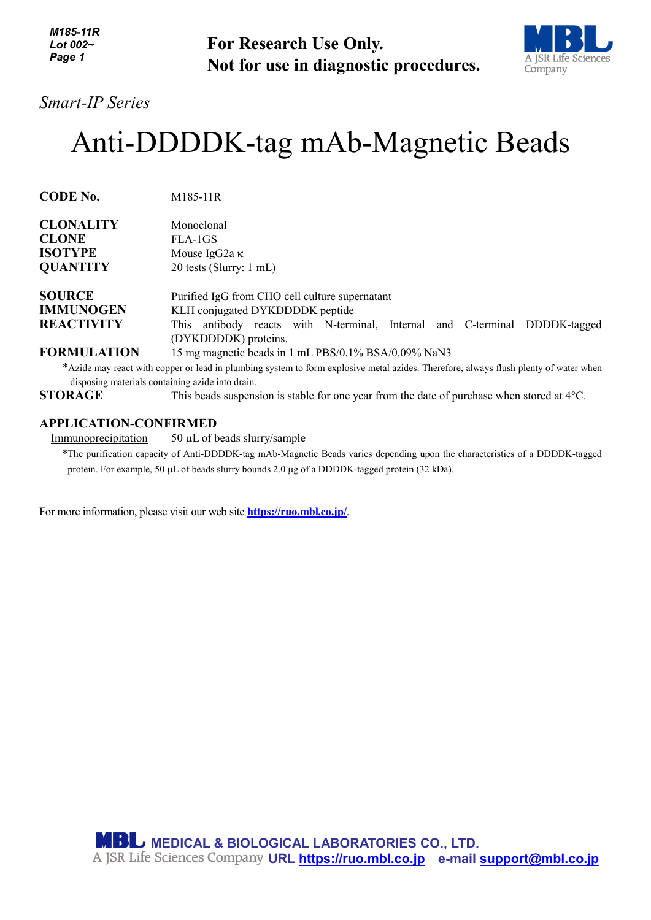*M185-11R Lot 002~ Page 1*

**For Research Use Only. Not for use in diagnostic procedures.**



### *Smart-IP Series*

# Anti-DDDDK-tag mAb-Magnetic Beads

| <b>CODE No.</b>    | M185-11R                                                                                           |
|--------------------|----------------------------------------------------------------------------------------------------|
| <b>CLONALITY</b>   | Monoclonal                                                                                         |
| <b>CLONE</b>       | FLA-1GS                                                                                            |
| <b>ISOTYPE</b>     | Mouse IgG2a $\kappa$                                                                               |
| <b>QUANTITY</b>    | 20 tests (Slurry: 1 mL)                                                                            |
| <b>SOURCE</b>      | Purified IgG from CHO cell culture supernatant                                                     |
| <b>IMMUNOGEN</b>   | KLH conjugated DYKDDDDK peptide                                                                    |
| <b>REACTIVITY</b>  | This antibody reacts with N-terminal, Internal and C-terminal DDDDK-tagged<br>(DYKDDDDK) proteins. |
| <b>FORMULATION</b> | 15 mg magnetic beads in 1 mL PBS/0.1% BSA/0.09% NaN3                                               |

\*Azide may react with copper or lead in plumbing system to form explosive metal azides. Therefore, always flush plenty of water when disposing materials containing azide into drain.

**STORAGE** This beads suspension is stable for one year from the date of purchase when stored at 4°C.

#### **APPLICATION-CONFIRMED**

Immunoprecipitation 50 µL of beads slurry/sample

\*The purification capacity of Anti-DDDDK-tag mAb-Magnetic Beads varies depending upon the characteristics of a DDDDK-tagged protein. For example, 50 µL of beads slurry bounds 2.0 µg of a DDDDK-tagged protein (32 kDa).

For more information, please visit our web site **<https://ruo.mbl.co.jp/>**.